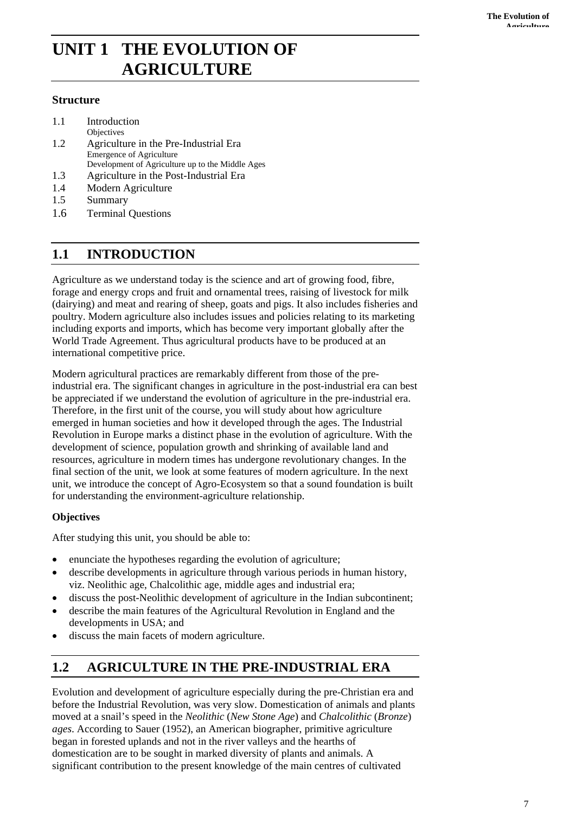# **UNIT 1 THE EVOLUTION OF AGRICULTURE**

### **Structure**

- 1.1 Introduction
- Objectives
- 1.2 Agriculture in the Pre-Industrial Era Emergence of Agriculture Development of Agriculture up to the Middle Ages
- 1.3 Agriculture in the Post-Industrial Era
- 1.4 Modern Agriculture
- 1.5 Summary
- 1.6 Terminal Questions

## **1.1 INTRODUCTION**

Agriculture as we understand today is the science and art of growing food, fibre, forage and energy crops and fruit and ornamental trees, raising of livestock for milk (dairying) and meat and rearing of sheep, goats and pigs. It also includes fisheries and poultry. Modern agriculture also includes issues and policies relating to its marketing including exports and imports, which has become very important globally after the World Trade Agreement. Thus agricultural products have to be produced at an international competitive price.

Modern agricultural practices are remarkably different from those of the preindustrial era. The significant changes in agriculture in the post-industrial era can best be appreciated if we understand the evolution of agriculture in the pre-industrial era. Therefore, in the first unit of the course, you will study about how agriculture emerged in human societies and how it developed through the ages. The Industrial Revolution in Europe marks a distinct phase in the evolution of agriculture. With the development of science, population growth and shrinking of available land and resources, agriculture in modern times has undergone revolutionary changes. In the final section of the unit, we look at some features of modern agriculture. In the next unit, we introduce the concept of Agro-Ecosystem so that a sound foundation is built for understanding the environment-agriculture relationship.

## **Objectives**

After studying this unit, you should be able to:

- enunciate the hypotheses regarding the evolution of agriculture;
- describe developments in agriculture through various periods in human history, viz. Neolithic age, Chalcolithic age, middle ages and industrial era;
- discuss the post-Neolithic development of agriculture in the Indian subcontinent;
- describe the main features of the Agricultural Revolution in England and the developments in USA; and
- discuss the main facets of modern agriculture.

## **1.2 AGRICULTURE IN THE PRE-INDUSTRIAL ERA**

Evolution and development of agriculture especially during the pre-Christian era and before the Industrial Revolution, was very slow. Domestication of animals and plants moved at a snail's speed in the *Neolithic* (*New Stone Age*) and *Chalcolithic* (*Bronze*) *ages*. According to Sauer (1952), an American biographer, primitive agriculture began in forested uplands and not in the river valleys and the hearths of domestication are to be sought in marked diversity of plants and animals. A significant contribution to the present knowledge of the main centres of cultivated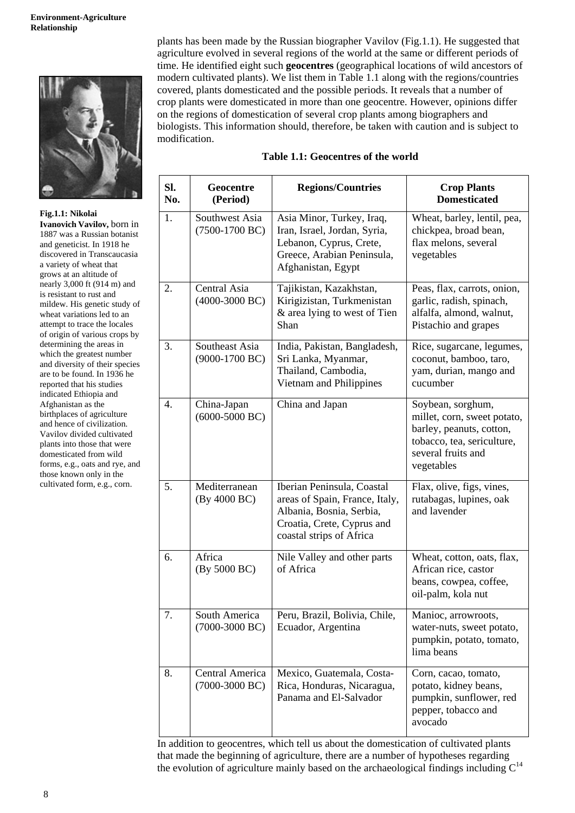

**Fig.1.1: Nikolai Ivanovich Vavilov,** born in 1887 was a Russian botanist and geneticist. In 1918 he discovered in Transcaucasia a variety of wheat that grows at an altitude of nearly 3,000 ft (914 m) and is resistant to rust and mildew. His genetic study of wheat variations led to an attempt to trace the locales of origin of various crops by determining the areas in which the greatest number and diversity of their species are to be found. In 1936 he reported that his studies indicated Ethiopia and Afghanistan as the birthplaces of agriculture and hence of civilization. Vavilov divided cultivated plants into those that were domesticated from wild forms, e.g., oats and rye, and those known only in the cultivated form, e.g., corn.

plants has been made by the Russian biographer Vavilov (Fig.1.1). He suggested that agriculture evolved in several regions of the world at the same or different periods of time. He identified eight such **geocentres** (geographical locations of wild ancestors of modern cultivated plants). We list them in Table 1.1 along with the regions/countries covered, plants domesticated and the possible periods. It reveals that a number of crop plants were domesticated in more than one geocentre. However, opinions differ on the regions of domestication of several crop plants among biographers and biologists. This information should, therefore, be taken with caution and is subject to modification.

#### **Table 1.1: Geocentres of the world**

| Sl.<br>No. | Geocentre<br>(Period)               | <b>Regions/Countries</b>                                                                                                                           | <b>Crop Plants</b><br><b>Domesticated</b>                                                                                                      |
|------------|-------------------------------------|----------------------------------------------------------------------------------------------------------------------------------------------------|------------------------------------------------------------------------------------------------------------------------------------------------|
| 1.         | Southwest Asia<br>$(7500-1700$ BC)  | Asia Minor, Turkey, Iraq,<br>Iran, Israel, Jordan, Syria,<br>Lebanon, Cyprus, Crete,<br>Greece, Arabian Peninsula,<br>Afghanistan, Egypt           | Wheat, barley, lentil, pea,<br>chickpea, broad bean,<br>flax melons, several<br>vegetables                                                     |
| 2.         | Central Asia<br>$(4000-3000$ BC)    | Tajikistan, Kazakhstan,<br>Kirigizistan, Turkmenistan<br>& area lying to west of Tien<br>Shan                                                      | Peas, flax, carrots, onion,<br>garlic, radish, spinach,<br>alfalfa, almond, walnut,<br>Pistachio and grapes                                    |
| 3.         | Southeast Asia<br>$(9000-1700$ BC)  | India, Pakistan, Bangladesh,<br>Sri Lanka, Myanmar,<br>Thailand, Cambodia,<br>Vietnam and Philippines                                              | Rice, sugarcane, legumes,<br>coconut, bamboo, taro,<br>yam, durian, mango and<br>cucumber                                                      |
| 4.         | China-Japan<br>$(6000-5000$ BC)     | China and Japan                                                                                                                                    | Soybean, sorghum,<br>millet, corn, sweet potato,<br>barley, peanuts, cotton,<br>tobacco, tea, sericulture,<br>several fruits and<br>vegetables |
| 5.         | Mediterranean<br>(By 4000 BC)       | Iberian Peninsula, Coastal<br>areas of Spain, France, Italy,<br>Albania, Bosnia, Serbia,<br>Croatia, Crete, Cyprus and<br>coastal strips of Africa | Flax, olive, figs, vines,<br>rutabagas, lupines, oak<br>and lavender                                                                           |
| 6.         | Africa<br>(By 5000 BC)              | Nile Valley and other parts<br>of Africa                                                                                                           | Wheat, cotton, oats, flax,<br>African rice, castor<br>beans, cowpea, coffee,<br>oil-palm, kola nut                                             |
| 7.         | South America<br>$(7000-3000$ BC)   | Peru, Brazil, Bolivia, Chile,<br>Ecuador, Argentina                                                                                                | Manioc, arrowroots,<br>water-nuts, sweet potato,<br>pumpkin, potato, tomato,<br>lima beans                                                     |
| 8.         | Central America<br>$(7000-3000$ BC) | Mexico, Guatemala, Costa-<br>Rica, Honduras, Nicaragua,<br>Panama and El-Salvador                                                                  | Corn, cacao, tomato,<br>potato, kidney beans,<br>pumpkin, sunflower, red<br>pepper, tobacco and<br>avocado                                     |

In addition to geocentres, which tell us about the domestication of cultivated plants that made the beginning of agriculture, there are a number of hypotheses regarding the evolution of agriculture mainly based on the archaeological findings including  $C^{14}$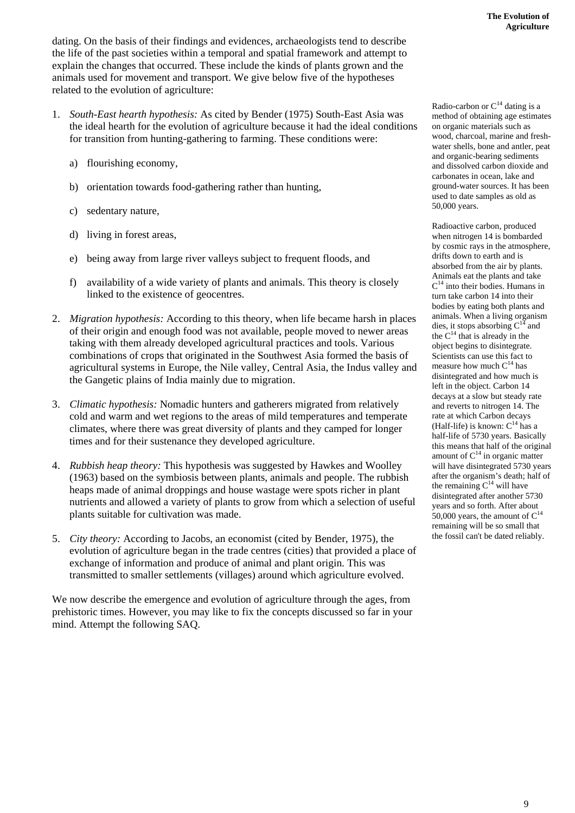dating. On the basis of their findings and evidences, archaeologists tend to describe the life of the past societies within a temporal and spatial framework and attempt to explain the changes that occurred. These include the kinds of plants grown and the animals used for movement and transport. We give below five of the hypotheses related to the evolution of agriculture:

- 1. *South-East hearth hypothesis:* As cited by Bender (1975) South-East Asia was the ideal hearth for the evolution of agriculture because it had the ideal conditions for transition from hunting-gathering to farming. These conditions were:
	- a) flourishing economy,
	- b) orientation towards food-gathering rather than hunting,
	- c) sedentary nature,
	- d) living in forest areas,
	- e) being away from large river valleys subject to frequent floods, and
	- f) availability of a wide variety of plants and animals. This theory is closely linked to the existence of geocentres.
- 2. *Migration hypothesis:* According to this theory, when life became harsh in places of their origin and enough food was not available, people moved to newer areas taking with them already developed agricultural practices and tools. Various combinations of crops that originated in the Southwest Asia formed the basis of agricultural systems in Europe, the Nile valley, Central Asia, the Indus valley and the Gangetic plains of India mainly due to migration.
- 3. *Climatic hypothesis:* Nomadic hunters and gatherers migrated from relatively cold and warm and wet regions to the areas of mild temperatures and temperate climates, where there was great diversity of plants and they camped for longer times and for their sustenance they developed agriculture.
- 4. *Rubbish heap theory:* This hypothesis was suggested by Hawkes and Woolley (1963) based on the symbiosis between plants, animals and people. The rubbish heaps made of animal droppings and house wastage were spots richer in plant nutrients and allowed a variety of plants to grow from which a selection of useful plants suitable for cultivation was made.
- 5. *City theory:* According to Jacobs, an economist (cited by Bender, 1975), the evolution of agriculture began in the trade centres (cities) that provided a place of exchange of information and produce of animal and plant origin. This was transmitted to smaller settlements (villages) around which agriculture evolved.

We now describe the emergence and evolution of agriculture through the ages, from prehistoric times. However, you may like to fix the concepts discussed so far in your mind. Attempt the following SAQ.

Radio-carbon or  $C^{14}$  dating is a method of obtaining age estimates on organic materials such as wood, charcoal, marine and freshwater shells, bone and antler, peat and organic-bearing sediments and dissolved carbon dioxide and carbonates in ocean, lake and ground-water sources. It has been used to date samples as old as 50,000 years.

Radioactive carbon, produced when nitrogen 14 is bombarded by cosmic rays in the atmosphere, drifts down to earth and is absorbed from the air by plants. Animals eat the plants and take  $C^{14}$  into their bodies. Humans in turn take carbon 14 into their bodies by eating both plants and animals. When a living organism dies, it stops absorbing  $C^{14}$  and the  $C^{14}$  that is already in the object begins to disintegrate. Scientists can use this fact to measure how much  $C^{14}$  has disintegrated and how much is left in the object. Carbon 14 decays at a slow but steady rate and reverts to nitrogen 14. The rate at which Carbon decays (Half-life) is known:  $C^{14}$  has a half-life of 5730 years. Basically this means that half of the original amount of  $C^{14}$  in organic matter will have disintegrated 5730 years after the organism's death; half of the remaining  $C^{14}$  will have disintegrated after another 5730 years and so forth. After about 50,000 years, the amount of  $C^{14}$ remaining will be so small that the fossil can't be dated reliably.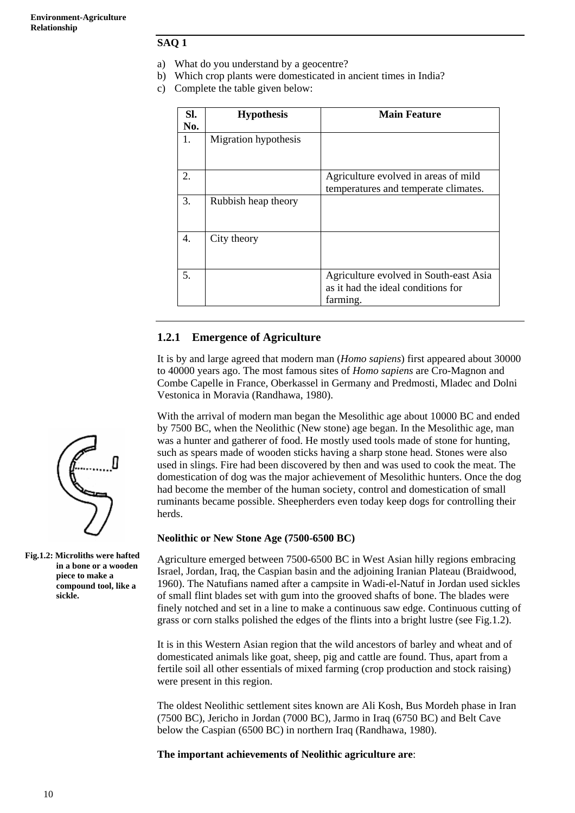#### **SAQ 1**

- a) What do you understand by a geocentre?
- b) Which crop plants were domesticated in ancient times in India?
- c) Complete the table given below:

| Sl.<br>No.       | <b>Hypothesis</b>    | <b>Main Feature</b>                                                                      |
|------------------|----------------------|------------------------------------------------------------------------------------------|
| 1.               | Migration hypothesis |                                                                                          |
| $\mathfrak{2}$ . |                      | Agriculture evolved in areas of mild<br>temperatures and temperate climates.             |
| 3.               | Rubbish heap theory  |                                                                                          |
| 4.               | City theory          |                                                                                          |
| 5.               |                      | Agriculture evolved in South-east Asia<br>as it had the ideal conditions for<br>farming. |

## **1.2.1 Emergence of Agriculture**

It is by and large agreed that modern man (*Homo sapiens*) first appeared about 30000 to 40000 years ago. The most famous sites of *Homo sapiens* are Cro-Magnon and Combe Capelle in France, Oberkassel in Germany and Predmosti, Mladec and Dolni Vestonica in Moravia (Randhawa, 1980).

With the arrival of modern man began the Mesolithic age about 10000 BC and ended by 7500 BC, when the Neolithic (New stone) age began. In the Mesolithic age, man was a hunter and gatherer of food. He mostly used tools made of stone for hunting, such as spears made of wooden sticks having a sharp stone head. Stones were also used in slings. Fire had been discovered by then and was used to cook the meat. The domestication of dog was the major achievement of Mesolithic hunters. Once the dog had become the member of the human society, control and domestication of small ruminants became possible. Sheepherders even today keep dogs for controlling their herds.

#### **Neolithic or New Stone Age (7500-6500 BC)**

Agriculture emerged between 7500-6500 BC in West Asian hilly regions embracing Israel, Jordan, Iraq, the Caspian basin and the adjoining Iranian Plateau (Braidwood, 1960). The Natufians named after a campsite in Wadi-el-Natuf in Jordan used sickles of small flint blades set with gum into the grooved shafts of bone. The blades were finely notched and set in a line to make a continuous saw edge. Continuous cutting of grass or corn stalks polished the edges of the flints into a bright lustre (see Fig.1.2).

It is in this Western Asian region that the wild ancestors of barley and wheat and of domesticated animals like goat, sheep, pig and cattle are found. Thus, apart from a fertile soil all other essentials of mixed farming (crop production and stock raising) were present in this region.

The oldest Neolithic settlement sites known are Ali Kosh, Bus Mordeh phase in Iran (7500 BC), Jericho in Jordan (7000 BC), Jarmo in Iraq (6750 BC) and Belt Cave below the Caspian (6500 BC) in northern Iraq (Randhawa, 1980).

**The important achievements of Neolithic agriculture are**:



**Fig.1.2: Microliths were hafted in a bone or a wooden piece to make a compound tool, like a sickle.**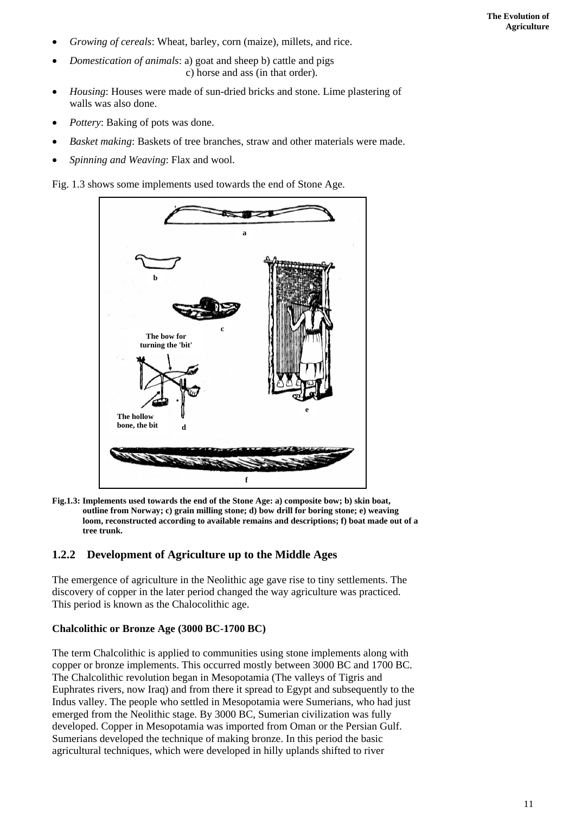- *Growing of cereals*: Wheat, barley, corn (maize), millets, and rice.
- *Domestication of animals*: a) goat and sheep b) cattle and pigs c) horse and ass (in that order).
- *Housing*: Houses were made of sun-dried bricks and stone. Lime plastering of walls was also done.
- *Pottery*: Baking of pots was done.
- *Basket making*: Baskets of tree branches, straw and other materials were made.
- *Spinning and Weaving*: Flax and wool.

Fig. 1.3 shows some implements used towards the end of Stone Age.



**Fig.1.3: Implements used towards the end of the Stone Age: a) composite bow; b) skin boat, outline from Norway; c) grain milling stone; d) bow drill for boring stone; e) weaving loom, reconstructed according to available remains and descriptions; f) boat made out of a tree trunk.**

### **1.2.2 Development of Agriculture up to the Middle Ages**

The emergence of agriculture in the Neolithic age gave rise to tiny settlements. The discovery of copper in the later period changed the way agriculture was practiced. This period is known as the Chalocolithic age.

#### **Chalcolithic or Bronze Age (3000 BC-1700 BC)**

The term Chalcolithic is applied to communities using stone implements along with copper or bronze implements. This occurred mostly between 3000 BC and 1700 BC. The Chalcolithic revolution began in Mesopotamia (The valleys of Tigris and Euphrates rivers, now Iraq) and from there it spread to Egypt and subsequently to the Indus valley. The people who settled in Mesopotamia were Sumerians, who had just emerged from the Neolithic stage. By 3000 BC, Sumerian civilization was fully developed. Copper in Mesopotamia was imported from Oman or the Persian Gulf. Sumerians developed the technique of making bronze. In this period the basic agricultural techniques, which were developed in hilly uplands shifted to river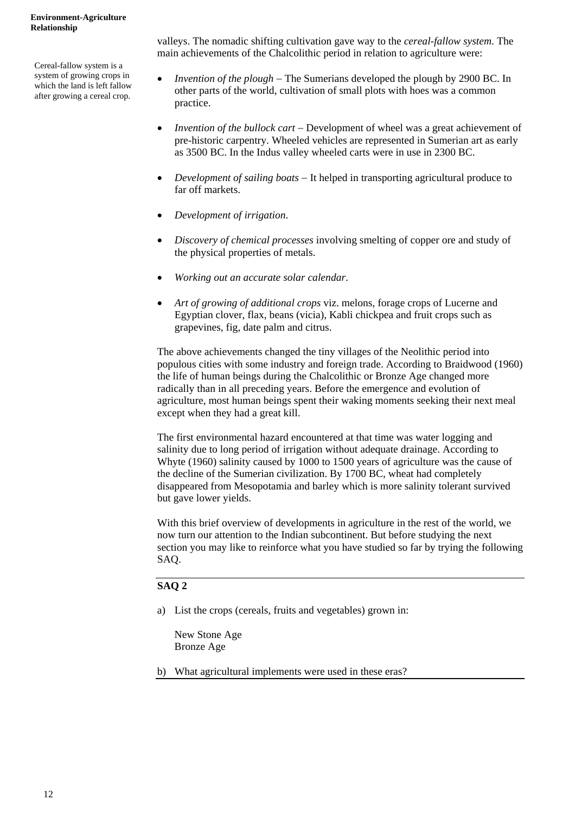Cereal-fallow system is a system of growing crops in which the land is left fallow after growing a cereal crop.

valleys. The nomadic shifting cultivation gave way to the *cereal-fallow system*. The main achievements of the Chalcolithic period in relation to agriculture were:

- *Invention of the plough* − The Sumerians developed the plough by 2900 BC. In other parts of the world, cultivation of small plots with hoes was a common practice.
- *Invention of the bullock cart* − Development of wheel was a great achievement of pre-historic carpentry. Wheeled vehicles are represented in Sumerian art as early as 3500 BC. In the Indus valley wheeled carts were in use in 2300 BC.
- *Development of sailing boats* − It helped in transporting agricultural produce to far off markets.
- *Development of irrigation*.
- *Discovery of chemical processes* involving smelting of copper ore and study of the physical properties of metals.
- *Working out an accurate solar calendar*.
- *Art of growing of additional crops* viz. melons, forage crops of Lucerne and Egyptian clover, flax, beans (vicia), Kabli chickpea and fruit crops such as grapevines, fig, date palm and citrus.

The above achievements changed the tiny villages of the Neolithic period into populous cities with some industry and foreign trade. According to Braidwood (1960) the life of human beings during the Chalcolithic or Bronze Age changed more radically than in all preceding years. Before the emergence and evolution of agriculture, most human beings spent their waking moments seeking their next meal except when they had a great kill.

The first environmental hazard encountered at that time was water logging and salinity due to long period of irrigation without adequate drainage. According to Whyte (1960) salinity caused by 1000 to 1500 years of agriculture was the cause of the decline of the Sumerian civilization. By 1700 BC, wheat had completely disappeared from Mesopotamia and barley which is more salinity tolerant survived but gave lower yields.

With this brief overview of developments in agriculture in the rest of the world, we now turn our attention to the Indian subcontinent. But before studying the next section you may like to reinforce what you have studied so far by trying the following SAQ.

#### **SAQ 2**

a) List the crops (cereals, fruits and vegetables) grown in:

New Stone Age Bronze Age

b) What agricultural implements were used in these eras?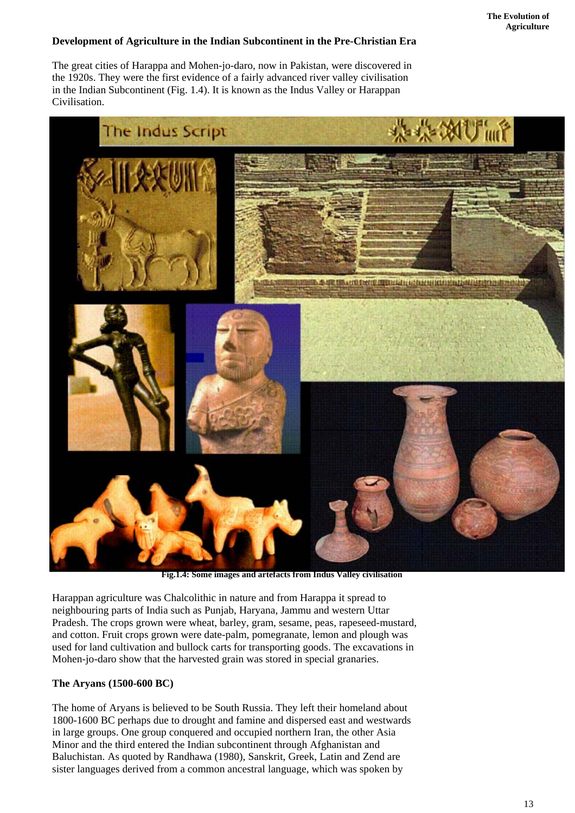### **Development of Agriculture in the Indian Subcontinent in the Pre-Christian Era**

The great cities of Harappa and Mohen-jo-daro, now in Pakistan, were discovered in the 1920s. They were the first evidence of a fairly advanced river valley civilisation in the Indian Subcontinent (Fig. 1.4). It is known as the Indus Valley or Harappan Civilisation.



 **Fig.1.4: Some images and artefacts from Indus Valley civilisation** 

Harappan agriculture was Chalcolithic in nature and from Harappa it spread to neighbouring parts of India such as Punjab, Haryana, Jammu and western Uttar Pradesh. The crops grown were wheat, barley, gram, sesame, peas, rapeseed-mustard, and cotton. Fruit crops grown were date-palm, pomegranate, lemon and plough was used for land cultivation and bullock carts for transporting goods. The excavations in Mohen-jo-daro show that the harvested grain was stored in special granaries.

#### **The Aryans (1500-600 BC)**

The home of Aryans is believed to be South Russia. They left their homeland about 1800-1600 BC perhaps due to drought and famine and dispersed east and westwards in large groups. One group conquered and occupied northern Iran, the other Asia Minor and the third entered the Indian subcontinent through Afghanistan and Baluchistan. As quoted by Randhawa (1980), Sanskrit, Greek, Latin and Zend are sister languages derived from a common ancestral language, which was spoken by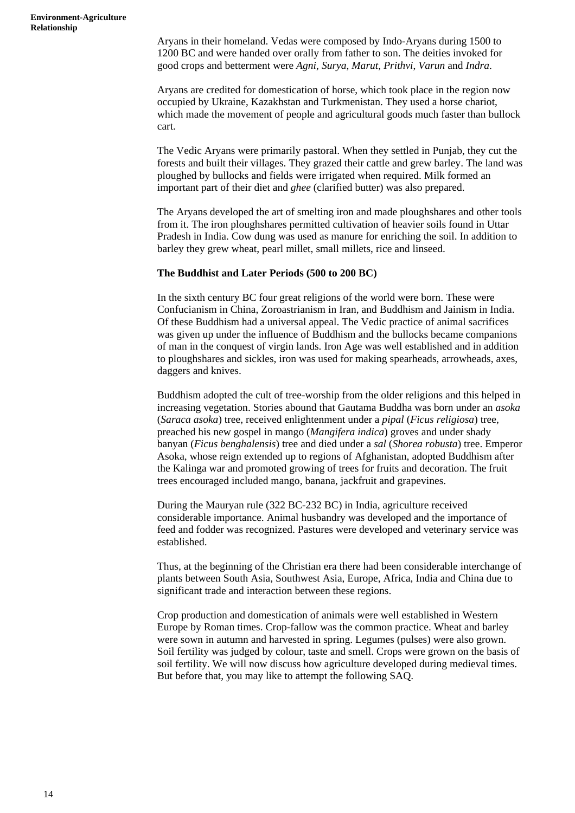Aryans in their homeland. Vedas were composed by Indo-Aryans during 1500 to 1200 BC and were handed over orally from father to son. The deities invoked for good crops and betterment were *Agni*, *Surya*, *Marut*, *Prithvi*, *Varun* and *Indra*.

Aryans are credited for domestication of horse, which took place in the region now occupied by Ukraine, Kazakhstan and Turkmenistan. They used a horse chariot, which made the movement of people and agricultural goods much faster than bullock cart.

The Vedic Aryans were primarily pastoral. When they settled in Punjab, they cut the forests and built their villages. They grazed their cattle and grew barley. The land was ploughed by bullocks and fields were irrigated when required. Milk formed an important part of their diet and *ghee* (clarified butter) was also prepared.

The Aryans developed the art of smelting iron and made ploughshares and other tools from it. The iron ploughshares permitted cultivation of heavier soils found in Uttar Pradesh in India. Cow dung was used as manure for enriching the soil. In addition to barley they grew wheat, pearl millet, small millets, rice and linseed.

#### **The Buddhist and Later Periods (500 to 200 BC)**

In the sixth century BC four great religions of the world were born. These were Confucianism in China, Zoroastrianism in Iran, and Buddhism and Jainism in India. Of these Buddhism had a universal appeal. The Vedic practice of animal sacrifices was given up under the influence of Buddhism and the bullocks became companions of man in the conquest of virgin lands. Iron Age was well established and in addition to ploughshares and sickles, iron was used for making spearheads, arrowheads, axes, daggers and knives.

Buddhism adopted the cult of tree-worship from the older religions and this helped in increasing vegetation. Stories abound that Gautama Buddha was born under an *asoka*  (*Saraca asoka*) tree, received enlightenment under a *pipal* (*Ficus religiosa*) tree, preached his new gospel in mango (*Mangifera indica*) groves and under shady banyan (*Ficus benghalensis*) tree and died under a *sal* (*Shorea robusta*) tree. Emperor Asoka, whose reign extended up to regions of Afghanistan, adopted Buddhism after the Kalinga war and promoted growing of trees for fruits and decoration. The fruit trees encouraged included mango, banana, jackfruit and grapevines.

During the Mauryan rule (322 BC-232 BC) in India, agriculture received considerable importance. Animal husbandry was developed and the importance of feed and fodder was recognized. Pastures were developed and veterinary service was established.

Thus, at the beginning of the Christian era there had been considerable interchange of plants between South Asia, Southwest Asia, Europe, Africa, India and China due to significant trade and interaction between these regions.

Crop production and domestication of animals were well established in Western Europe by Roman times. Crop-fallow was the common practice. Wheat and barley were sown in autumn and harvested in spring. Legumes (pulses) were also grown. Soil fertility was judged by colour, taste and smell. Crops were grown on the basis of soil fertility. We will now discuss how agriculture developed during medieval times. But before that, you may like to attempt the following SAQ.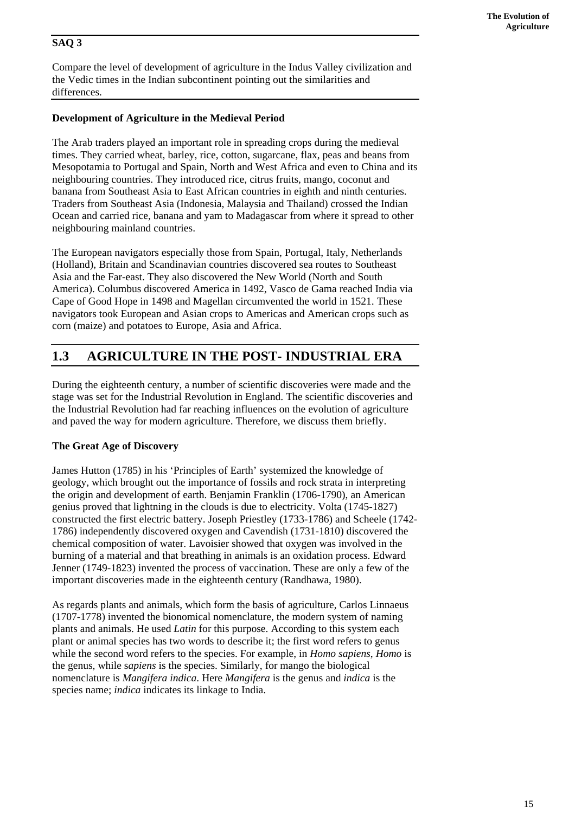## **SAQ 3**

Compare the level of development of agriculture in the Indus Valley civilization and the Vedic times in the Indian subcontinent pointing out the similarities and differences.

## **Development of Agriculture in the Medieval Period**

The Arab traders played an important role in spreading crops during the medieval times. They carried wheat, barley, rice, cotton, sugarcane, flax, peas and beans from Mesopotamia to Portugal and Spain, North and West Africa and even to China and its neighbouring countries. They introduced rice, citrus fruits, mango, coconut and banana from Southeast Asia to East African countries in eighth and ninth centuries. Traders from Southeast Asia (Indonesia, Malaysia and Thailand) crossed the Indian Ocean and carried rice, banana and yam to Madagascar from where it spread to other neighbouring mainland countries.

The European navigators especially those from Spain, Portugal, Italy, Netherlands (Holland), Britain and Scandinavian countries discovered sea routes to Southeast Asia and the Far-east. They also discovered the New World (North and South America). Columbus discovered America in 1492, Vasco de Gama reached India via Cape of Good Hope in 1498 and Magellan circumvented the world in 1521. These navigators took European and Asian crops to Americas and American crops such as corn (maize) and potatoes to Europe, Asia and Africa.

## **1.3 AGRICULTURE IN THE POST- INDUSTRIAL ERA**

During the eighteenth century, a number of scientific discoveries were made and the stage was set for the Industrial Revolution in England. The scientific discoveries and the Industrial Revolution had far reaching influences on the evolution of agriculture and paved the way for modern agriculture. Therefore, we discuss them briefly.

## **The Great Age of Discovery**

James Hutton (1785) in his 'Principles of Earth' systemized the knowledge of geology, which brought out the importance of fossils and rock strata in interpreting the origin and development of earth. Benjamin Franklin (1706-1790), an American genius proved that lightning in the clouds is due to electricity. Volta (1745-1827) constructed the first electric battery. Joseph Priestley (1733-1786) and Scheele (1742- 1786) independently discovered oxygen and Cavendish (1731-1810) discovered the chemical composition of water. Lavoisier showed that oxygen was involved in the burning of a material and that breathing in animals is an oxidation process. Edward Jenner (1749-1823) invented the process of vaccination. These are only a few of the important discoveries made in the eighteenth century (Randhawa, 1980).

As regards plants and animals, which form the basis of agriculture, Carlos Linnaeus (1707-1778) invented the bionomical nomenclature, the modern system of naming plants and animals. He used *Latin* for this purpose. According to this system each plant or animal species has two words to describe it; the first word refers to genus while the second word refers to the species. For example, in *Homo sapiens*, *Homo* is the genus, while s*apiens* is the species. Similarly, for mango the biological nomenclature is *Mangifera indica*. Here *Mangifera* is the genus and *indica* is the species name; *indica* indicates its linkage to India.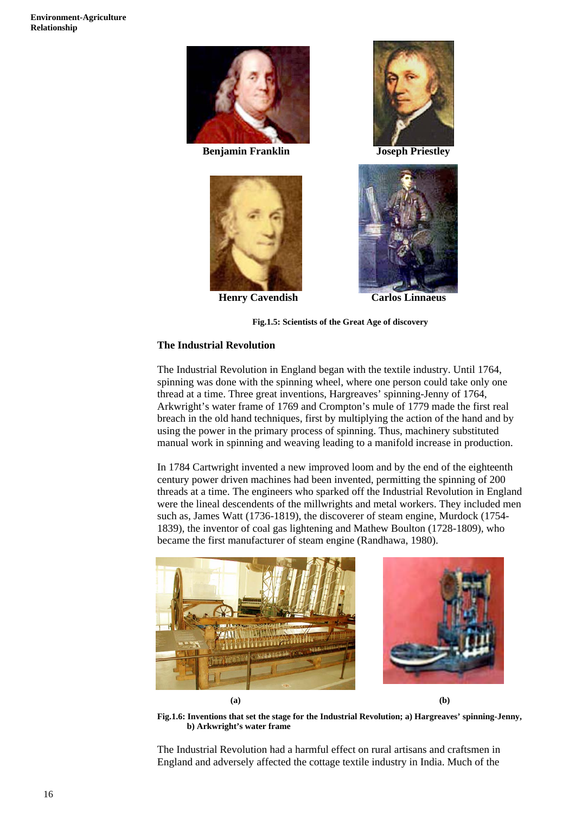

 **Benjamin Franklin Joseph Priestley** 



 **Henry Cavendish Carlos Linnaeus** 





**Fig.1.5: Scientists of the Great Age of discovery** 

#### **The Industrial Revolution**

The Industrial Revolution in England began with the textile industry. Until 1764, spinning was done with the spinning wheel, where one person could take only one thread at a time. Three great inventions, Hargreaves' spinning-Jenny of 1764, Arkwright's water frame of 1769 and Crompton's mule of 1779 made the first real breach in the old hand techniques, first by multiplying the action of the hand and by using the power in the primary process of spinning. Thus, machinery substituted manual work in spinning and weaving leading to a manifold increase in production.

In 1784 Cartwright invented a new improved loom and by the end of the eighteenth century power driven machines had been invented, permitting the spinning of 200 threads at a time. The engineers who sparked off the Industrial Revolution in England were the lineal descendents of the millwrights and metal workers. They included men such as, James Watt (1736-1819), the discoverer of steam engine, Murdock (1754- 1839), the inventor of coal gas lightening and Mathew Boulton (1728-1809), who became the first manufacturer of steam engine (Randhawa, 1980).



**(a) (b)** 

**Fig.1.6: Inventions that set the stage for the Industrial Revolution; a) Hargreaves' spinning-Jenny, b) Arkwright's water frame** 

The Industrial Revolution had a harmful effect on rural artisans and craftsmen in England and adversely affected the cottage textile industry in India. Much of the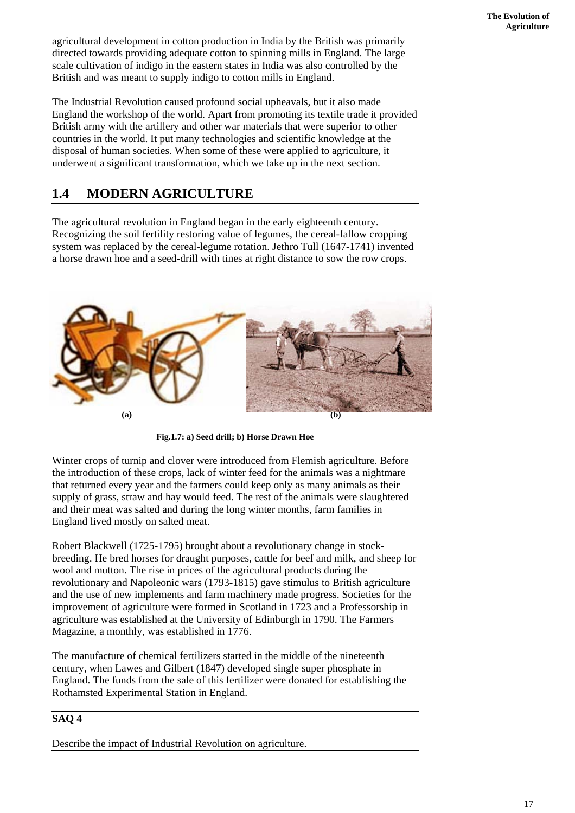agricultural development in cotton production in India by the British was primarily directed towards providing adequate cotton to spinning mills in England. The large scale cultivation of indigo in the eastern states in India was also controlled by the British and was meant to supply indigo to cotton mills in England.

The Industrial Revolution caused profound social upheavals, but it also made England the workshop of the world. Apart from promoting its textile trade it provided British army with the artillery and other war materials that were superior to other countries in the world. It put many technologies and scientific knowledge at the disposal of human societies. When some of these were applied to agriculture, it underwent a significant transformation, which we take up in the next section.

## **1.4 MODERN AGRICULTURE**

The agricultural revolution in England began in the early eighteenth century. Recognizing the soil fertility restoring value of legumes, the cereal-fallow cropping system was replaced by the cereal-legume rotation. Jethro Tull (1647-1741) invented a horse drawn hoe and a seed-drill with tines at right distance to sow the row crops.



**Fig.1.7: a) Seed drill; b) Horse Drawn Hoe** 

Winter crops of turnip and clover were introduced from Flemish agriculture. Before the introduction of these crops, lack of winter feed for the animals was a nightmare that returned every year and the farmers could keep only as many animals as their supply of grass, straw and hay would feed. The rest of the animals were slaughtered and their meat was salted and during the long winter months, farm families in England lived mostly on salted meat.

Robert Blackwell (1725-1795) brought about a revolutionary change in stockbreeding. He bred horses for draught purposes, cattle for beef and milk, and sheep for wool and mutton. The rise in prices of the agricultural products during the revolutionary and Napoleonic wars (1793-1815) gave stimulus to British agriculture and the use of new implements and farm machinery made progress. Societies for the improvement of agriculture were formed in Scotland in 1723 and a Professorship in agriculture was established at the University of Edinburgh in 1790. The Farmers Magazine, a monthly, was established in 1776.

The manufacture of chemical fertilizers started in the middle of the nineteenth century, when Lawes and Gilbert (1847) developed single super phosphate in England. The funds from the sale of this fertilizer were donated for establishing the Rothamsted Experimental Station in England.

## **SAQ 4**

Describe the impact of Industrial Revolution on agriculture.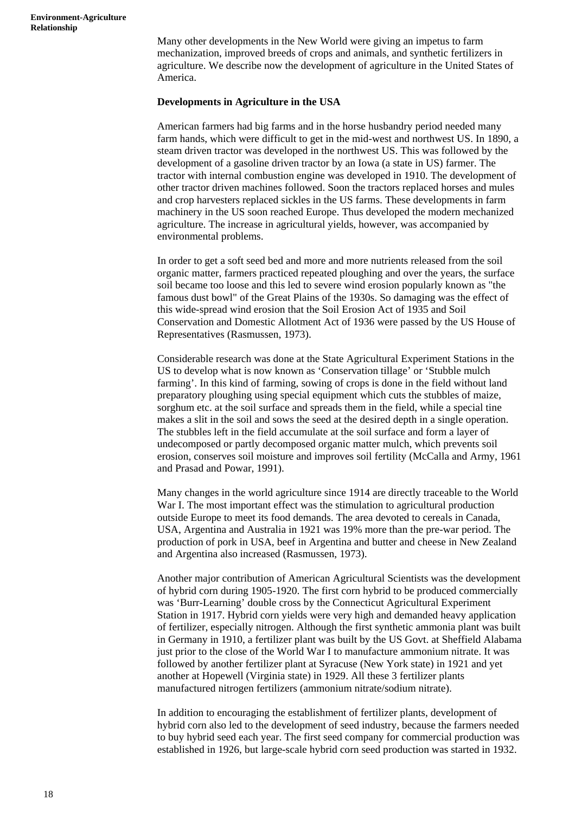Many other developments in the New World were giving an impetus to farm mechanization, improved breeds of crops and animals, and synthetic fertilizers in agriculture. We describe now the development of agriculture in the United States of America.

#### **Developments in Agriculture in the USA**

American farmers had big farms and in the horse husbandry period needed many farm hands, which were difficult to get in the mid-west and northwest US. In 1890, a steam driven tractor was developed in the northwest US. This was followed by the development of a gasoline driven tractor by an Iowa (a state in US) farmer. The tractor with internal combustion engine was developed in 1910. The development of other tractor driven machines followed. Soon the tractors replaced horses and mules and crop harvesters replaced sickles in the US farms. These developments in farm machinery in the US soon reached Europe. Thus developed the modern mechanized agriculture. The increase in agricultural yields, however, was accompanied by environmental problems.

In order to get a soft seed bed and more and more nutrients released from the soil organic matter, farmers practiced repeated ploughing and over the years, the surface soil became too loose and this led to severe wind erosion popularly known as "the famous dust bowl" of the Great Plains of the 1930s. So damaging was the effect of this wide-spread wind erosion that the Soil Erosion Act of 1935 and Soil Conservation and Domestic Allotment Act of 1936 were passed by the US House of Representatives (Rasmussen, 1973).

Considerable research was done at the State Agricultural Experiment Stations in the US to develop what is now known as 'Conservation tillage' or 'Stubble mulch farming'. In this kind of farming, sowing of crops is done in the field without land preparatory ploughing using special equipment which cuts the stubbles of maize, sorghum etc. at the soil surface and spreads them in the field, while a special tine makes a slit in the soil and sows the seed at the desired depth in a single operation. The stubbles left in the field accumulate at the soil surface and form a layer of undecomposed or partly decomposed organic matter mulch, which prevents soil erosion, conserves soil moisture and improves soil fertility (McCalla and Army, 1961 and Prasad and Powar, 1991).

Many changes in the world agriculture since 1914 are directly traceable to the World War I. The most important effect was the stimulation to agricultural production outside Europe to meet its food demands. The area devoted to cereals in Canada, USA, Argentina and Australia in 1921 was 19% more than the pre-war period. The production of pork in USA, beef in Argentina and butter and cheese in New Zealand and Argentina also increased (Rasmussen, 1973).

Another major contribution of American Agricultural Scientists was the development of hybrid corn during 1905-1920. The first corn hybrid to be produced commercially was 'Burr-Learning' double cross by the Connecticut Agricultural Experiment Station in 1917. Hybrid corn yields were very high and demanded heavy application of fertilizer, especially nitrogen. Although the first synthetic ammonia plant was built in Germany in 1910, a fertilizer plant was built by the US Govt. at Sheffield Alabama just prior to the close of the World War I to manufacture ammonium nitrate. It was followed by another fertilizer plant at Syracuse (New York state) in 1921 and yet another at Hopewell (Virginia state) in 1929. All these 3 fertilizer plants manufactured nitrogen fertilizers (ammonium nitrate/sodium nitrate).

In addition to encouraging the establishment of fertilizer plants, development of hybrid corn also led to the development of seed industry, because the farmers needed to buy hybrid seed each year. The first seed company for commercial production was established in 1926, but large-scale hybrid corn seed production was started in 1932.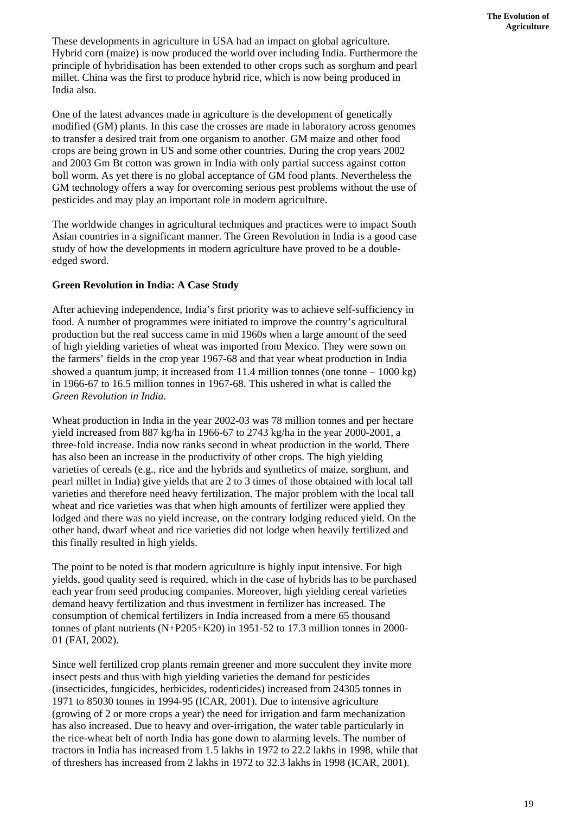These developments in agriculture in USA had an impact on global agriculture. Hybrid corn (maize) is now produced the world over including India. Furthermore the principle of hybridisation has been extended to other crops such as sorghum and pearl millet. China was the first to produce hybrid rice, which is now being produced in India also.

One of the latest advances made in agriculture is the development of genetically modified (GM) plants. In this case the crosses are made in laboratory across genomes to transfer a desired trait from one organism to another. GM maize and other food crops are being grown in US and some other countries. During the crop years 2002 and 2003 Gm Bt cotton was grown in India with only partial success against cotton boll worm. As yet there is no global acceptance of GM food plants. Nevertheless the GM technology offers a way for overcoming serious pest problems without the use of pesticides and may play an important role in modern agriculture.

The worldwide changes in agricultural techniques and practices were to impact South Asian countries in a significant manner. The Green Revolution in India is a good case study of how the developments in modern agriculture have proved to be a doubleedged sword.

### **Green Revolution in India: A Case Study**

After achieving independence, India's first priority was to achieve self-sufficiency in food. A number of programmes were initiated to improve the country's agricultural production but the real success came in mid 1960s when a large amount of the seed of high yielding varieties of wheat was imported from Mexico. They were sown on the farmers' fields in the crop year 1967-68 and that year wheat production in India showed a quantum jump; it increased from 11.4 million tonnes (one tonne  $-1000 \text{ kg}$ ) in 1966-67 to 16.5 million tonnes in 1967-68. This ushered in what is called the *Green Revolution in India*.

Wheat production in India in the year 2002-03 was 78 million tonnes and per hectare yield increased from 887 kg/ha in 1966-67 to 2743 kg/ha in the year 2000-2001, a three-fold increase. India now ranks second in wheat production in the world. There has also been an increase in the productivity of other crops. The high yielding varieties of cereals (e.g., rice and the hybrids and synthetics of maize, sorghum, and pearl millet in India) give yields that are 2 to 3 times of those obtained with local tall varieties and therefore need heavy fertilization. The major problem with the local tall wheat and rice varieties was that when high amounts of fertilizer were applied they lodged and there was no yield increase, on the contrary lodging reduced yield. On the other hand, dwarf wheat and rice varieties did not lodge when heavily fertilized and this finally resulted in high yields.

The point to be noted is that modern agriculture is highly input intensive. For high yields, good quality seed is required, which in the case of hybrids has to be purchased each year from seed producing companies. Moreover, high yielding cereal varieties demand heavy fertilization and thus investment in fertilizer has increased. The consumption of chemical fertilizers in India increased from a mere 65 thousand tonnes of plant nutrients (N+P205+K20) in 1951-52 to 17.3 million tonnes in 2000- 01 (FAI, 2002).

Since well fertilized crop plants remain greener and more succulent they invite more insect pests and thus with high yielding varieties the demand for pesticides (insecticides, fungicides, herbicides, rodenticides) increased from 24305 tonnes in 1971 to 85030 tonnes in 1994-95 (ICAR, 2001). Due to intensive agriculture (growing of 2 or more crops a year) the need for irrigation and farm mechanization has also increased. Due to heavy and over-irrigation, the water table particularly in the rice-wheat belt of north India has gone down to alarming levels. The number of tractors in India has increased from 1.5 lakhs in 1972 to 22.2 lakhs in 1998, while that of threshers has increased from 2 lakhs in 1972 to 32.3 lakhs in 1998 (ICAR, 2001).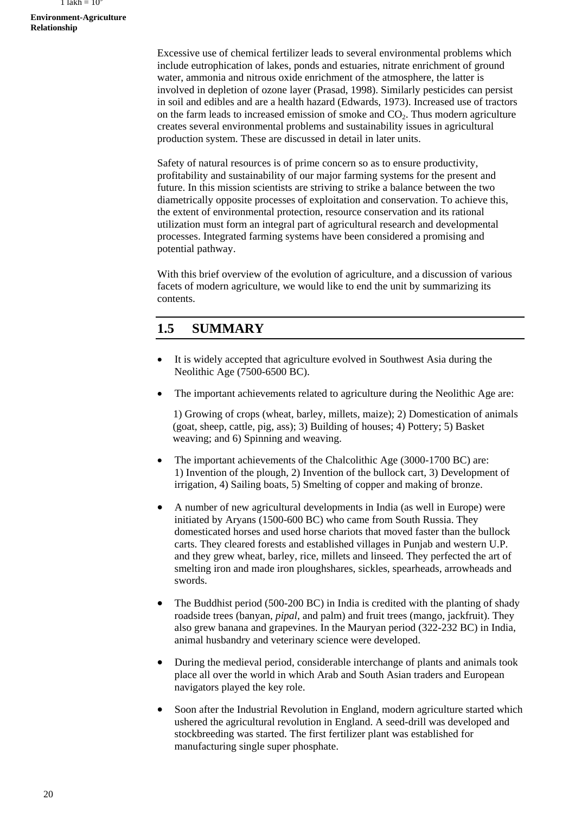#### **Environment-Agriculture Relationship**

Excessive use of chemical fertilizer leads to several environmental problems which include eutrophication of lakes, ponds and estuaries, nitrate enrichment of ground water, ammonia and nitrous oxide enrichment of the atmosphere, the latter is involved in depletion of ozone layer (Prasad, 1998). Similarly pesticides can persist in soil and edibles and are a health hazard (Edwards, 1973). Increased use of tractors on the farm leads to increased emission of smoke and  $CO<sub>2</sub>$ . Thus modern agriculture creates several environmental problems and sustainability issues in agricultural production system. These are discussed in detail in later units.

Safety of natural resources is of prime concern so as to ensure productivity, profitability and sustainability of our major farming systems for the present and future. In this mission scientists are striving to strike a balance between the two diametrically opposite processes of exploitation and conservation. To achieve this, the extent of environmental protection, resource conservation and its rational utilization must form an integral part of agricultural research and developmental processes. Integrated farming systems have been considered a promising and potential pathway.

With this brief overview of the evolution of agriculture, and a discussion of various facets of modern agriculture, we would like to end the unit by summarizing its contents.

## **1.5 SUMMARY**

- It is widely accepted that agriculture evolved in Southwest Asia during the Neolithic Age (7500-6500 BC).
- The important achievements related to agriculture during the Neolithic Age are:

 1) Growing of crops (wheat, barley, millets, maize); 2) Domestication of animals (goat, sheep, cattle, pig, ass); 3) Building of houses; 4) Pottery; 5) Basket weaving; and 6) Spinning and weaving.

- The important achievements of the Chalcolithic Age (3000-1700 BC) are: 1) Invention of the plough, 2) Invention of the bullock cart, 3) Development of irrigation, 4) Sailing boats, 5) Smelting of copper and making of bronze.
- A number of new agricultural developments in India (as well in Europe) were initiated by Aryans (1500-600 BC) who came from South Russia. They domesticated horses and used horse chariots that moved faster than the bullock carts. They cleared forests and established villages in Punjab and western U.P. and they grew wheat, barley, rice, millets and linseed. They perfected the art of smelting iron and made iron ploughshares, sickles, spearheads, arrowheads and swords.
- The Buddhist period (500-200 BC) in India is credited with the planting of shady roadside trees (banyan, *pipal*, and palm) and fruit trees (mango, jackfruit). They also grew banana and grapevines. In the Mauryan period (322-232 BC) in India, animal husbandry and veterinary science were developed.
- During the medieval period, considerable interchange of plants and animals took place all over the world in which Arab and South Asian traders and European navigators played the key role.
- Soon after the Industrial Revolution in England, modern agriculture started which ushered the agricultural revolution in England. A seed-drill was developed and stockbreeding was started. The first fertilizer plant was established for manufacturing single super phosphate.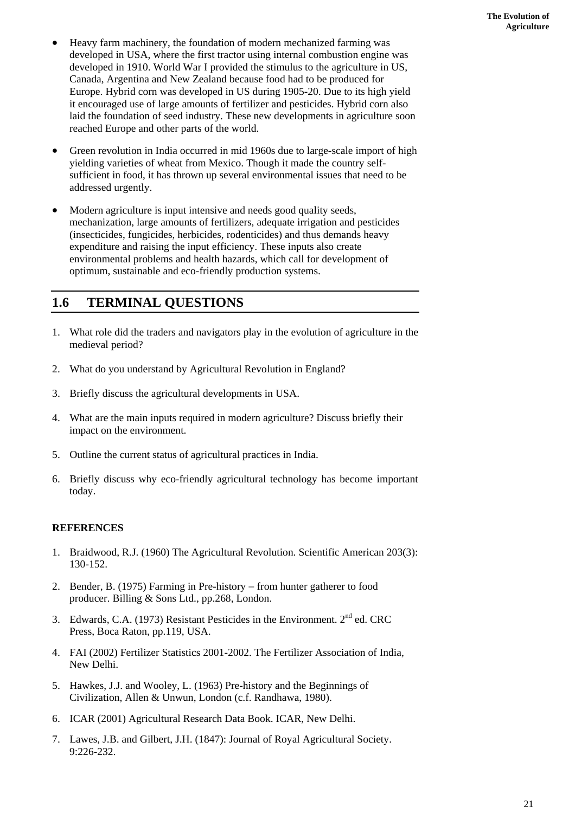- Heavy farm machinery, the foundation of modern mechanized farming was developed in USA, where the first tractor using internal combustion engine was developed in 1910. World War I provided the stimulus to the agriculture in US, Canada, Argentina and New Zealand because food had to be produced for Europe. Hybrid corn was developed in US during 1905-20. Due to its high yield it encouraged use of large amounts of fertilizer and pesticides. Hybrid corn also laid the foundation of seed industry. These new developments in agriculture soon reached Europe and other parts of the world.
- Green revolution in India occurred in mid 1960s due to large-scale import of high yielding varieties of wheat from Mexico. Though it made the country selfsufficient in food, it has thrown up several environmental issues that need to be addressed urgently.
- Modern agriculture is input intensive and needs good quality seeds, mechanization, large amounts of fertilizers, adequate irrigation and pesticides (insecticides, fungicides, herbicides, rodenticides) and thus demands heavy expenditure and raising the input efficiency. These inputs also create environmental problems and health hazards, which call for development of optimum, sustainable and eco-friendly production systems.

## **1.6 TERMINAL QUESTIONS**

- 1. What role did the traders and navigators play in the evolution of agriculture in the medieval period?
- 2. What do you understand by Agricultural Revolution in England?
- 3. Briefly discuss the agricultural developments in USA.
- 4. What are the main inputs required in modern agriculture? Discuss briefly their impact on the environment.
- 5. Outline the current status of agricultural practices in India.
- 6. Briefly discuss why eco-friendly agricultural technology has become important today.

### **REFERENCES**

- 1. Braidwood, R.J. (1960) The Agricultural Revolution. Scientific American 203(3): 130-152.
- 2. Bender, B. (1975) Farming in Pre-history − from hunter gatherer to food producer. Billing & Sons Ltd., pp.268, London.
- 3. Edwards, C.A. (1973) Resistant Pesticides in the Environment.  $2<sup>nd</sup>$  ed. CRC Press, Boca Raton, pp.119, USA.
- 4. FAI (2002) Fertilizer Statistics 2001-2002. The Fertilizer Association of India, New Delhi.
- 5. Hawkes, J.J. and Wooley, L. (1963) Pre-history and the Beginnings of Civilization, Allen & Unwun, London (c.f. Randhawa, 1980).
- 6. ICAR (2001) Agricultural Research Data Book. ICAR, New Delhi.
- 7. Lawes, J.B. and Gilbert, J.H. (1847): Journal of Royal Agricultural Society. 9:226-232.